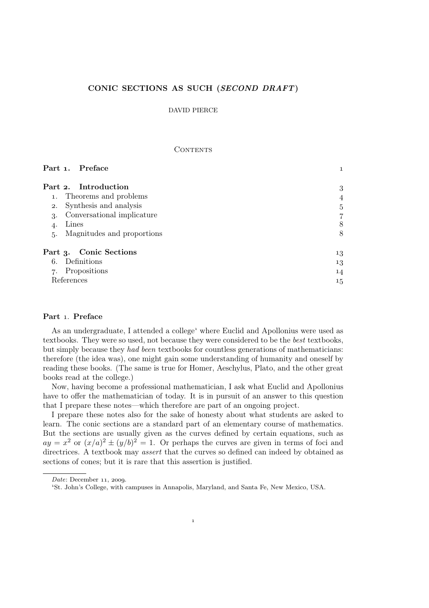# CONIC SECTIONS AS SUCH (SECOND DRAFT)

# DAVID PIERCE

#### CONTENTS

| Part 1. Preface                  | 1              |
|----------------------------------|----------------|
| Part 2. Introduction             | 3              |
| 1. Theorems and problems         | $\overline{4}$ |
| 2. Synthesis and analysis        | 5              |
| Conversational implicature<br>3. | 7              |
| Lines<br>$\overline{4}$          | 8              |
| Magnitudes and proportions<br>5. | 8              |
| Part 3. Conic Sections           | 13             |
| Definitions<br>6.                | 13             |
| 7. Propositions                  | 14             |
| References                       | 1,5            |

# Part 1. Preface

As an undergraduate, I attended a college<sup>1</sup> where Euclid and Apollonius were used as textbooks. They were so used, not because they were considered to be the *best* textbooks, but simply because they *had been* textbooks for countless generations of mathematicians: therefore (the idea was), one might gain some understanding of humanity and oneself by reading these books. (The same is true for Homer, Aeschylus, Plato, and the other great books read at the college.)

Now, having become a professional mathematician, I ask what Euclid and Apollonius have to offer the mathematician of today. It is in pursuit of an answer to this question that I prepare these notes—which therefore are part of an ongoing project.

I prepare these notes also for the sake of honesty about what students are asked to learn. The conic sections are a standard part of an elementary course of mathematics. But the sections are usually given as the curves defined by certain equations, such as  $ay = x^2$  or  $(x/a)^2 \pm (y/b)^2 = 1$ . Or perhaps the curves are given in terms of foci and directrices. A textbook may *assert* that the curves so defined can indeed by obtained as sections of cones; but it is rare that this assertion is justified.

 $\overline{1}$ 

*Date*: December 11, 2009.

<sup>&</sup>lt;sup>1</sup>St. John's College, with campuses in Annapolis, Maryland, and Santa Fe, New Mexico, USA.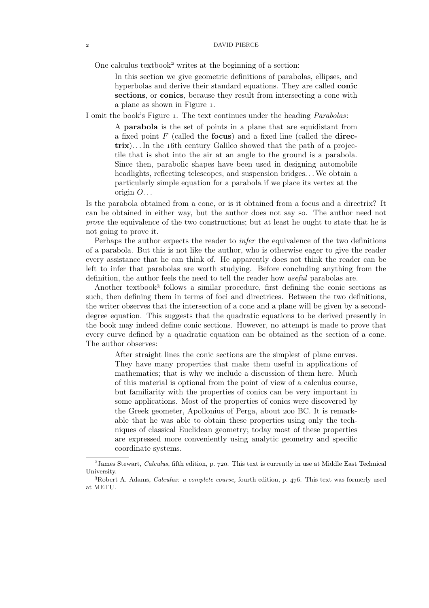One calculus textbook<sup>2</sup> writes at the beginning of a section:

In this section we give geometric definitions of parabolas, ellipses, and hyperbolas and derive their standard equations. They are called **conic** sections, or conics, because they result from intersecting a cone with a plane as shown in Figure 1.

I omit the book's Figure . The text continues under the heading *Parabolas*:

A parabola is the set of points in a plane that are equidistant from a fixed point  $F$  (called the **focus**) and a fixed line (called the **direc** $trix) \dots$  In the 16th century Galileo showed that the path of a projectile that is shot into the air at an angle to the ground is a parabola. Since then, parabolic shapes have been used in designing automobile headlights, reflecting telescopes, and suspension bridges. . .We obtain a particularly simple equation for a parabola if we place its vertex at the origin  $O \dots$ 

Is the parabola obtained from a cone, or is it obtained from a focus and a directrix? It can be obtained in either way, but the author does not say so. The author need not *prove* the equivalence of the two constructions; but at least he ought to state that he is not going to prove it.

Perhaps the author expects the reader to *infer* the equivalence of the two definitions of a parabola. But this is not like the author, who is otherwise eager to give the reader every assistance that he can think of. He apparently does not think the reader can be left to infer that parabolas are worth studying. Before concluding anything from the definition, the author feels the need to tell the reader how *useful* parabolas are.

Another textbook<sup>3</sup> follows a similar procedure, first defining the conic sections as such, then defining them in terms of foci and directrices. Between the two definitions, the writer observes that the intersection of a cone and a plane will be given by a seconddegree equation. This suggests that the quadratic equations to be derived presently in the book may indeed define conic sections. However, no attempt is made to prove that every curve defined by a quadratic equation can be obtained as the section of a cone. The author observes:

After straight lines the conic sections are the simplest of plane curves. They have many properties that make them useful in applications of mathematics; that is why we include a discussion of them here. Much of this material is optional from the point of view of a calculus course, but familiarity with the properties of conics can be very important in some applications. Most of the properties of conics were discovered by the Greek geometer, Apollonius of Perga, about 200 BC. It is remarkable that he was able to obtain these properties using only the techniques of classical Euclidean geometry; today most of these properties are expressed more conveniently using analytic geometry and specific coordinate systems.

<sup>&</sup>lt;sup>2</sup> James Stewart, *Calculus*, fifth edition, p. 720. This text is currently in use at Middle East Technical University.

<sup>3</sup>Robert A. Adams, *Calculus: a complete course*, fourth edition, p. 476. This text was formerly used at METU.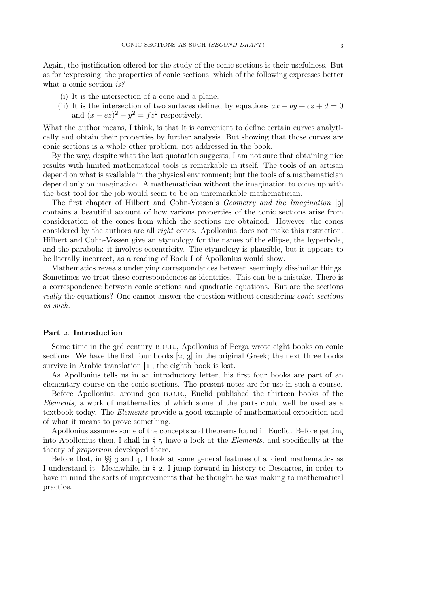Again, the justification offered for the study of the conic sections is their usefulness. But as for 'expressing' the properties of conic sections, which of the following expresses better what a conic section *is?*

- (i) It is the intersection of a cone and a plane.
- (ii) It is the intersection of two surfaces defined by equations  $ax + by + cz + d = 0$ and  $(x - ez)^2 + y^2 = fz^2$  respectively.

What the author means, I think, is that it is convenient to define certain curves analytically and obtain their properties by further analysis. But showing that those curves are conic sections is a whole other problem, not addressed in the book.

By the way, despite what the last quotation suggests, I am not sure that obtaining nice results with limited mathematical tools is remarkable in itself. The tools of an artisan depend on what is available in the physical environment; but the tools of a mathematician depend only on imagination. A mathematician without the imagination to come up with the best tool for the job would seem to be an unremarkable mathematician.

The first chapter of Hilbert and Cohn-Vossen's *Geometry and the Imagination* [9] contains a beautiful account of how various properties of the conic sections arise from consideration of the cones from which the sections are obtained. However, the cones considered by the authors are all *right* cones. Apollonius does not make this restriction. Hilbert and Cohn-Vossen give an etymology for the names of the ellipse, the hyperbola, and the parabola: it involves eccentricity. The etymology is plausible, but it appears to be literally incorrect, as a reading of Book I of Apollonius would show.

Mathematics reveals underlying correspondences between seemingly dissimilar things. Sometimes we treat these correspondences as identities. This can be a mistake. There is a correspondence between conic sections and quadratic equations. But are the sections *really* the equations? One cannot answer the question without considering *conic sections as such.*

## Part 2. Introduction

Some time in the 3rd century B.C.E., Apollonius of Perga wrote eight books on conic sections. We have the first four books  $\left[2, 3\right]$  in the original Greek; the next three books survive in Arabic translation  $[1]$ ; the eighth book is lost.

As Apollonius tells us in an introductory letter, his first four books are part of an elementary course on the conic sections. The present notes are for use in such a course.

Before Apollonius, around 300 B.C.E., Euclid published the thirteen books of the *Elements,* a work of mathematics of which some of the parts could well be used as a textbook today. The *Elements* provide a good example of mathematical exposition and of what it means to prove something.

Apollonius assumes some of the concepts and theorems found in Euclid. Before getting into Apollonius then, I shall in § 5 have a look at the *Elements*, and specifically at the theory of *proportion* developed there.

Before that, in  $\S$  3 and 4, I look at some general features of ancient mathematics as I understand it. Meanwhile, in  $\S$  2, I jump forward in history to Descartes, in order to have in mind the sorts of improvements that he thought he was making to mathematical practice.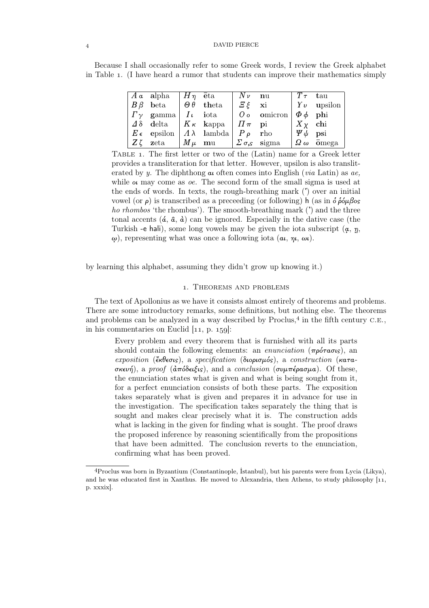| $A \alpha$ alpha $H \eta$ $\bar{e}$ ta                                                                                     |  | $\mid Nv \text{} \mid$ nu |                                                                                                                          | $\parallel$ T $\tau$ tau  |                                                       |
|----------------------------------------------------------------------------------------------------------------------------|--|---------------------------|--------------------------------------------------------------------------------------------------------------------------|---------------------------|-------------------------------------------------------|
| $\begin{array}{ c c c c c c } \hline B\beta & \text{beta} & \theta & \text{theta} & E\xi & \text{xi} \ \hline \end{array}$ |  |                           |                                                                                                                          |                           | $Yv$ upsilon                                          |
|                                                                                                                            |  |                           | $  \Gamma_{\gamma}$ gamma $  \text{ } I_{\ell} \text{ }$ iota $  \text{ } 0 \text{ }$ omicron $  \text{ } \Phi \phi$ phi |                           |                                                       |
| $\left  \right. \Delta \delta$ delta $\left  K_{\kappa} \right.$ kappa $\left  H \pi \right.$ pi                           |  |                           |                                                                                                                          | $ X_{\chi}$ chi           |                                                       |
| $E_{\epsilon}$ epsilon $\vert A \lambda \vert$ lambda $\vert P_{\rho} \vert$ rho                                           |  |                           |                                                                                                                          | $ \Psi \psi \text{ psi} $ |                                                       |
| $Z\zeta$ zeta $/M\mu$ mu $Z\sigma_s$ sigma                                                                                 |  |                           |                                                                                                                          |                           | $\left  \right. \Omega \omega \right.$ $\bar{0}$ mega |

Because I shall occasionally refer to some Greek words, I review the Greek alphabet in Table . (I have heard a rumor that students can improve their mathematics simply

Table . The first letter or two of the (Latin) name for a Greek letter provides a transliteration for that letter. However, upsilon is also transliterated by *y.* The diphthong αι often comes into English (*via* Latin) as *ae,* while οι may come as *oe.* The second form of the small sigma is used at the ends of words. In texts, the rough-breathing mark (`) over an initial vowel (or  $ρ$ ) is transcribed as a preceeding (or following) h (as in δρόμβος *ho rhombos* 'the rhombus'). The smooth-breathing mark (') and the three tonal accents  $(\hat{\alpha}, \hat{\alpha}, \hat{\alpha})$  can be ignored. Especially in the dative case (the Turkish -e hali), some long vowels may be given the iota subscript  $(\alpha, \eta, \eta)$  $\omega$ ), representing what was once a following iota ( $\alpha$ ,  $\eta$ ,  $\omega$ i).

by learning this alphabet, assuming they didn't grow up knowing it.)

# . Theorems and problems

The text of Apollonius as we have it consists almost entirely of theorems and problems. There are some introductory remarks, some definitions, but nothing else. The theorems and problems can be analyzed in a way described by  $Proclus, 4$  in the fifth century C.E., in his commentaries on Euclid  $[11, p. 159]$ :

Every problem and every theorem that is furnished with all its parts should contain the following elements: an *enunciation* (πρότασις), an *exposition* (κθεσις), a *specification* (διορισµός), a *construction* (κατασκευή), a *proof* (¢πόδειξις), and a *conclusion* (συµπέρασµα). Of these, the enunciation states what is given and what is being sought from it, for a perfect enunciation consists of both these parts. The exposition takes separately what is given and prepares it in advance for use in the investigation. The specification takes separately the thing that is sought and makes clear precisely what it is. The construction adds what is lacking in the given for finding what is sought. The proof draws the proposed inference by reasoning scientifically from the propositions that have been admitted. The conclusion reverts to the enunciation, confirming what has been proved.

Proclus was born in Byzantium (Constantinople, İstanbul), but his parents were from Lycia (Likya), and he was educated first in Xanthus. He moved to Alexandria, then Athens, to study philosophy  $[11]$ , p. xxxix].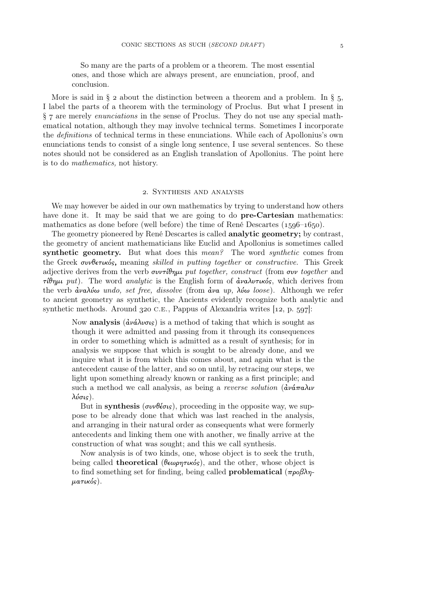So many are the parts of a problem or a theorem. The most essential ones, and those which are always present, are enunciation, proof, and conclusion.

More is said in  $\S$  2 about the distinction between a theorem and a problem. In  $\S$  5, I label the parts of a theorem with the terminology of Proclus. But what I present in § 7 are merely *enunciations* in the sense of Proclus. They do not use any special mathematical notation, although they may involve technical terms. Sometimes I incorporate the *definitions* of technical terms in these enunciations. While each of Apollonius's own enunciations tends to consist of a single long sentence, I use several sentences. So these notes should not be considered as an English translation of Apollonius. The point here is to do *mathematics,* not history.

## . Synthesis and analysis

We may however be aided in our own mathematics by trying to understand how others have done it. It may be said that we are going to do **pre-Cartesian** mathematics: mathematics as done before (well before) the time of René Descartes  $(1596-1650)$ .

The geometry pioneered by René Descartes is called analytic geometry; by contrast, the geometry of ancient mathematicians like Euclid and Apollonius is sometimes called synthetic geometry. But what does this *mean?* The word *synthetic* comes from the Greek συνθετικός, meaning *skilled in putting together* or *constructive.* This Greek adjective derives from the verb συντίθηµι *put together, construct* (from συν *together* and τίθηµι *put*). The word *analytic* is the English form of ¢ναλυτικός, which derives from the verb ¢ναλύω *undo, set free, dissolve* (from ¢να *up,* λύω *loose*). Although we refer to ancient geometry as synthetic, the Ancients evidently recognize both analytic and synthetic methods. Around  $320$  C.E., Pappus of Alexandria writes  $[12, p. 597]$ :

Now **analysis** ( $\frac{\partial \nu}{\partial \alpha} \frac{\partial \nu}{\partial \alpha}$ ) is a method of taking that which is sought as though it were admitted and passing from it through its consequences in order to something which is admitted as a result of synthesis; for in analysis we suppose that which is sought to be already done, and we inquire what it is from which this comes about, and again what is the antecedent cause of the latter, and so on until, by retracing our steps, we light upon something already known or ranking as a first principle; and such a method we call analysis, as being a *reverse solution* (ανάπαλιν λύσις).

But in synthesis ( $\sigma \nu \theta \epsilon \sigma s$ ), proceeding in the opposite way, we suppose to be already done that which was last reached in the analysis, and arranging in their natural order as consequents what were formerly antecedents and linking them one with another, we finally arrive at the construction of what was sought; and this we call synthesis.

Now analysis is of two kinds, one, whose object is to seek the truth, being called **theoretical** ( $\theta \epsilon \omega \rho \eta \tau \kappa \omega \delta$ ), and the other, whose object is to find something set for finding, being called **problematical** ( $προβλη$ µατικός).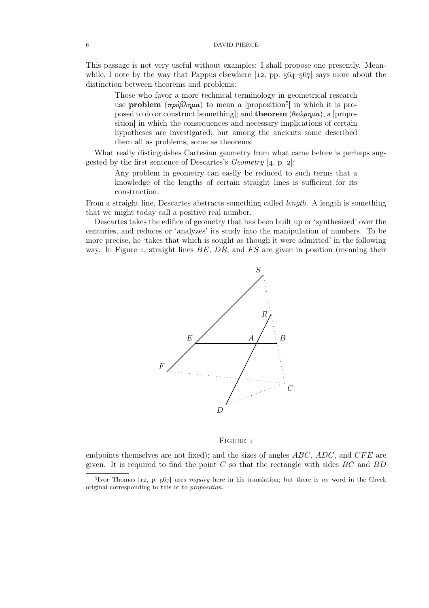This passage is not very useful without examples: I shall propose one presently. Meanwhile, I note by the way that Pappus elsewhere  $[12, pp. 564-567]$  says more about the distinction between theorems and problems:

Those who favor a more technical terminology in geometrical research use **problem**  $(\pi \rho \delta \beta \lambda \eta \mu a)$  to mean a [proposition<sup>5</sup>] in which it is proposed to do or construct [something]; and **theorem** (θεώρημα), a [proposition] in which the consequences and necessary implications of certain hypotheses are investigated; but among the ancients some described them all as problems, some as theorems.

What really distinguishes Cartesian geometry from what came before is perhaps suggested by the first sentence of Descartes's *Geometry* [4, p. 2]:

Any problem in geometry can easily be reduced to such terms that a knowledge of the lengths of certain straight lines is sufficient for its construction.

From a straight line, Descartes abstracts something called *length.* A length is something that we might today call a positive real number.

Descartes takes the edifice of geometry that has been built up or 'synthesized' over the centuries, and reduces or 'analyzes' its study into the manipulation of numbers. To be more precise, he 'takes that which is sought as though it were admitted' in the following way. In Figure 1, straight lines  $BE$ ,  $DR$ , and  $FS$  are given in position (meaning their



#### FIGURE 1

endpoints themselves are not fixed); and the sizes of angles  $ABC$ ,  $ADC$ , and  $CFE$  are given. It is required to find the point  $C$  so that the rectangle with sides  $BC$  and  $BD$ 

 $5$ Ivor Thomas  $\begin{bmatrix} 12, p. 567 \end{bmatrix}$  uses *inquiry* here in his translation; but there is *no* word in the Greek original corresponding to this or to *proposition*.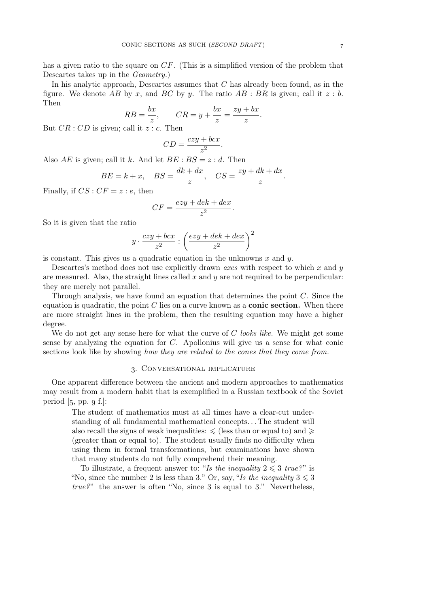has a given ratio to the square on CF. (This is a simplified version of the problem that Descartes takes up in the *Geometry.*)

In his analytic approach, Descartes assumes that  $C$  has already been found, as in the figure. We denote AB by x, and BC by y. The ratio  $AB : BR$  is given; call it  $z : b$ . Then

$$
RB = \frac{bx}{z}, \qquad CR = y + \frac{bx}{z} = \frac{zy + bx}{z}.
$$

But  $CR:CD$  is given; call it  $z: c$ . Then

$$
CD = \frac{czy + bcx}{z^2}.
$$

Also  $AE$  is given; call it k. And let  $BE : BS = z : d$ . Then

$$
BE = k + x, \quad BS = \frac{dk + dx}{z}, \quad CS = \frac{zy + dk + dx}{z}
$$

Finally, if  $CS:CF = z : e$ , then

$$
CF = \frac{ezy + dek + dex}{z^2}.
$$

So it is given that the ratio

$$
y \cdot \frac{czy + bcx}{z^2} : \left(\frac{ezy + dek + dec}{z^2}\right)^2
$$

is constant. This gives us a quadratic equation in the unknowns  $x$  and  $y$ .

Descartes's method does not use explicitly drawn *axes* with respect to which x and y are measured. Also, the straight lines called  $x$  and  $y$  are not required to be perpendicular: they are merely not parallel.

Through analysis, we have found an equation that determines the point  $C$ . Since the equation is quadratic, the point  $C$  lies on a curve known as a **conic section.** When there are more straight lines in the problem, then the resulting equation may have a higher degree.

We do not get any sense here for what the curve of C *looks like.* We might get some sense by analyzing the equation for  $C$ . Apollonius will give us a sense for what conic sections look like by showing *how they are related to the cones that they come from.*

# . Conversational implicature

One apparent difference between the ancient and modern approaches to mathematics may result from a modern habit that is exemplified in a Russian textbook of the Soviet period  $[5, pp. 9f.]$ :

The student of mathematics must at all times have a clear-cut understanding of all fundamental mathematical concepts. . . The student will also recall the signs of weak inequalities:  $\leq$  (less than or equal to) and  $\geq$ (greater than or equal to). The student usually finds no difficulty when using them in formal transformations, but examinations have shown that many students do not fully comprehend their meaning.

To illustrate, a frequent answer to: "*Is the inequality*  $2 \leq 3$  *true?*" is "No, since the number 2 is less than 3." Or, say, "*Is the inequality*  $3 \leq 3$ *true?*" the answer is often "No, since 3 is equal to 3." Nevertheless,

.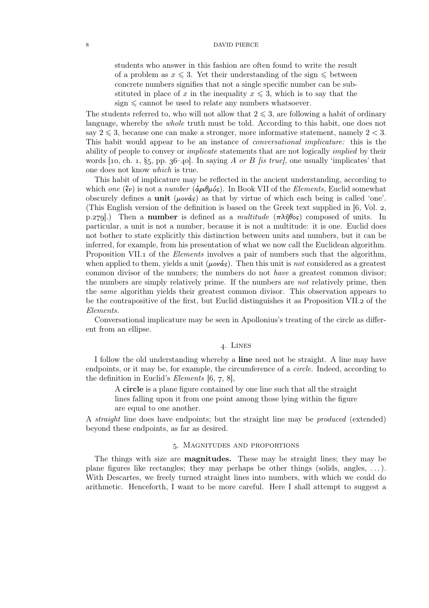students who answer in this fashion are often found to write the result of a problem as  $x \leq 3$ . Yet their understanding of the sign  $\leq$  between concrete numbers signifies that not a single specific number can be substituted in place of x in the inequality  $x \leq 3$ , which is to say that the sign  $\leq$  cannot be used to relate any numbers whatsoever.

The students referred to, who will not allow that  $2 \leq 3$ , are following a habit of ordinary language, whereby the *whole* truth must be told. According to this habit, one does not say  $2 \leq 3$ , because one can make a stronger, more informative statement, namely  $2 < 3$ . This habit would appear to be an instance of *conversational implicature:* this is the ability of people to convey or *implicate* statements that are not logically *implied* by their words  $[10, \text{ch. } 1, \text{ §}_5, \text{pp. } 36-40]$ . In saying A *or* B *fis true]*, one usually 'implicates' that one does not know *which* is true.

This habit of implicature may be reflected in the ancient understanding, according to which *one* ( $\epsilon v$ ) is not a *number* ( $d\rho_l d\mu_s$ ). In Book VII of the *Elements*, Euclid somewhat obscurely defines a **unit** ( $\mu$ ονάς) as that by virtue of which each being is called 'one'. (This English version of the definition is based on the Greek text supplied in  $[6, Vol. 2, ]$ p.279.) Then a **number** is defined as a *multitude*  $(\pi \lambda \hat{\eta} \theta_{\text{OS}})$  composed of units. In particular, a unit is not a number, because it is not a multitude: it is one. Euclid does not bother to state explicitly this distinction between units and numbers, but it can be inferred, for example, from his presentation of what we now call the Euclidean algorithm. Proposition VII. of the *Elements* involves a pair of numbers such that the algorithm, when applied to them, yields a unit  $(\mu \circ \nu \circ s)$ . Then this unit is *not* considered as a greatest common divisor of the numbers; the numbers do not *have* a greatest common divisor; the numbers are simply relatively prime. If the numbers are *not* relatively prime, then the *same* algorithm yields their greatest common divisor. This observation appears to be the contrapositive of the first, but Euclid distinguishes it as Proposition VII. 2 of the *Elements.*

Conversational implicature may be seen in Apollonius's treating of the circle as different from an ellipse.

# . Lines

I follow the old understanding whereby a line need not be straight. A line may have endpoints, or it may be, for example, the circumference of a *circle.* Indeed, according to the definition in Euclid's *Elements*  $[6, 7, 8]$ ,

A circle is a plane figure contained by one line such that all the straight lines falling upon it from one point among those lying within the figure are equal to one another.

A *straight* line does have endpoints; but the straight line may be *produced* (extended) beyond these endpoints, as far as desired.

## . Magnitudes and proportions

The things with size are magnitudes. These may be straight lines; they may be plane figures like rectangles; they may perhaps be other things (solids, angles, . . . ). With Descartes, we freely turned straight lines into numbers, with which we could do arithmetic. Henceforth, I want to be more careful. Here I shall attempt to suggest a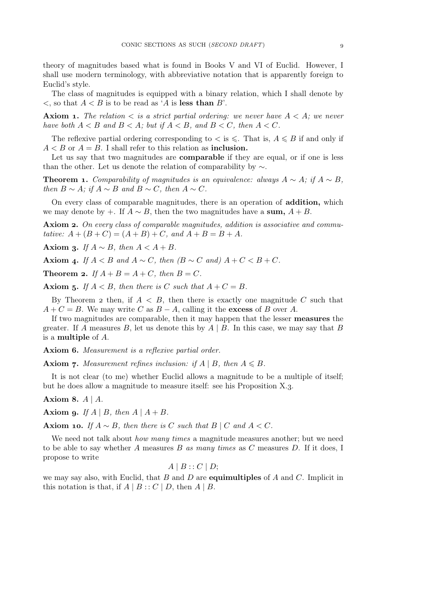theory of magnitudes based what is found in Books V and VI of Euclid. However, I shall use modern terminology, with abbreviative notation that is apparently foreign to Euclid's style.

The class of magnitudes is equipped with a binary relation, which I shall denote by  $\lt$ , so that  $A \lt B$  is to be read as 'A is less than B'.

**Axiom 1.** The relation  $\lt$  is a strict partial ordering: we never have  $A \lt A$ ; we never *have both*  $A < B$  *and*  $B < A$ *; but if*  $A < B$ *, and*  $B < C$ *, then*  $A < C$ *.* 

The reflexive partial ordering corresponding to  $\lt$  is  $\leq$ . That is,  $A \leq B$  if and only if  $A < B$  or  $A = B$ . I shall refer to this relation as **inclusion.** 

Let us say that two magnitudes are **comparable** if they are equal, or if one is less than the other. Let us denote the relation of comparability by ∼.

**Theorem 1.** *Comparability of magnitudes is an equivalence: always*  $A \sim A$ *; if*  $A \sim B$ , *then*  $B \sim A$ *; if*  $A \sim B$  *and*  $B \sim C$ *, then*  $A \sim C$ *.* 

On every class of comparable magnitudes, there is an operation of addition, which we may denote by +. If  $A \sim B$ , then the two magnitudes have a sum,  $A + B$ .

Axiom 2. On every class of comparable magnitudes, addition is associative and commu*tative:*  $A + (B + C) = (A + B) + C$ *, and*  $A + B = B + A$ *.* 

Axiom 3. *If*  $A \sim B$ *, then*  $A < A + B$ .

Axiom 4. *If*  $A < B$  *and*  $A \sim C$ *, then*  $(B \sim C$  *and*)  $A + C < B + C$ *.* 

**Theorem 2.** If  $A + B = A + C$ , then  $B = C$ .

Axiom 5. If  $A < B$ , then there is C such that  $A + C = B$ .

By Theorem 2 then, if  $A < B$ , then there is exactly one magnitude C such that  $A + C = B$ . We may write C as  $B - A$ , calling it the excess of B over A.

If two magnitudes are comparable, then it may happen that the lesser measures the greater. If A measures B, let us denote this by  $A \mid B$ . In this case, we may say that B is a multiple of A.

Axiom 6. *Measurement is a reflexive partial order.* 

Axiom 7. *Measurement refines inclusion: if*  $A \mid B$ *, then*  $A \leq B$ *.* 

It is not clear (to me) whether Euclid allows a magnitude to be a multiple of itself; but he does allow a magnitude to measure itself: see his Proposition X.3.

Axiom 8.  $A \mid A$ .

Axiom 9. If  $A \mid B$ , then  $A \mid A + B$ .

Axiom 10. If  $A \sim B$ , then there is C such that  $B \mid C$  and  $A \lt C$ .

We need not talk about *how many times* a magnitude measures another; but we need to be able to say whether A measures B *as many times* as C measures D. If it does, I propose to write

 $A \, | \, B :: C \, | \, D;$ 

we may say also, with Euclid, that  $B$  and  $D$  are **equimultiples** of  $A$  and  $C$ . Implicit in this notation is that, if  $A \mid B :: C \mid D$ , then  $A \mid B$ .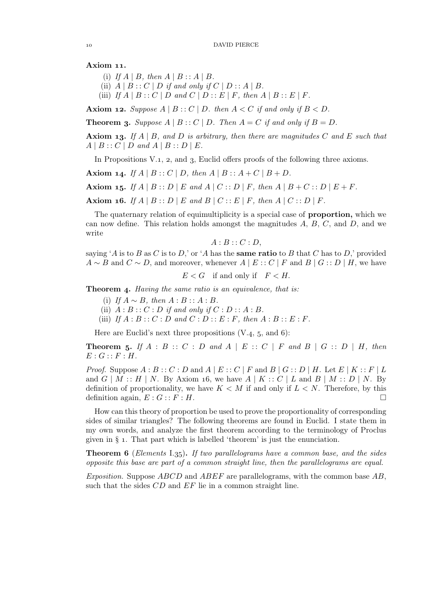Axiom 11.

(i) *If*  $A \mid B$ *, then*  $A \mid B :: A \mid B$ *.* 

- (ii)  $A \mid B :: C \mid D$  *if and only if*  $C \mid D :: A \mid B$ .
- (iii) *If*  $A \mid B :: C \mid D$  *and*  $C \mid D :: E \mid F$ *, then*  $A \mid B :: E \mid F$ *.*

Axiom 12. Suppose  $A \mid B :: C \mid D$ . then  $A < C$  if and only if  $B < D$ .

**Theorem 3.** Suppose  $A \mid B :: C \mid D$ . Then  $A = C$  if and only if  $B = D$ .

Axiom 13. If  $A \mid B$ , and  $D$  is arbitrary, then there are magnitudes C and E such that  $A \mid B :: C \mid D \text{ and } A \mid B :: D \mid E.$ 

In Propositions V.1, 2, and 3, Euclid offers proofs of the following three axioms.

Axiom 14. If  $A \mid B :: C \mid D$ , then  $A \mid B :: A + C \mid B + D$ .

Axiom 15. If  $A | B :: D | E$  and  $A | C :: D | F$ , then  $A | B + C :: D | E + F$ .

Axiom 16. If  $A | B :: D | E$  and  $B | C :: E | F$ , then  $A | C :: D | F$ .

The quaternary relation of equimultiplicity is a special case of **proportion**, which we can now define. This relation holds amongst the magnitudes  $A, B, C$ , and  $D$ , and we write

 $A:B::C:D,$ 

saying 'A is to B as C is to D,' or 'A has the **same ratio** to B that C has to D,' provided  $A \sim B$  and  $C \sim D$ , and moreover, whenever  $A \mid E :: C \mid F$  and  $B \mid G :: D \mid H$ , we have

 $E < G$  if and only if  $F < H$ .

Theorem 4. *Having the same ratio is an equivalence, that is:* 

- (i) *If*  $A \sim B$ , then  $A : B :: A : B$ .
- (ii)  $A : B :: C : D$  *if and only if*  $C : D :: A : B$ .
- (iii) *If*  $A : B :: C : D$  *and*  $C : D :: E : F$ *, then*  $A : B :: E : F$ *.*

Here are Euclid's next three propositions  $(V.4, 5, \text{ and } 6)$ :

**Theorem 5.** If  $A : B :: C : D$  and  $A | E :: C | F$  and  $B | G :: D | H$ , then  $E: G::F:H$ .

*Proof.* Suppose  $A : B :: C : D$  and  $A | E :: C | F$  and  $B | G :: D | H$ . Let  $E | K :: F | L$ and  $G \mid M :: H \mid N$ . By Axiom 16, we have  $A \mid K :: C \mid L$  and  $B \mid M :: D \mid N$ . By definition of proportionality, we have  $K < M$  if and only if  $L < N$ . Therefore, by this definition again,  $E: G :: F : H$ .

How can this theory of proportion be used to prove the proportionality of corresponding sides of similar triangles? The following theorems are found in Euclid. I state them in my own words, and analyze the first theorem according to the terminology of Proclus given in  $\S$  1. That part which is labelled 'theorem' is just the enunciation.

**Theorem 6** (*Elements* I.35). *If two parallelograms have a common base, and the sides opposite this base are part of a common straight line, then the parallelograms are equal.*

*Exposition.* Suppose ABCD and ABEF are parallelograms, with the common base AB, such that the sides  $CD$  and  $EF$  lie in a common straight line.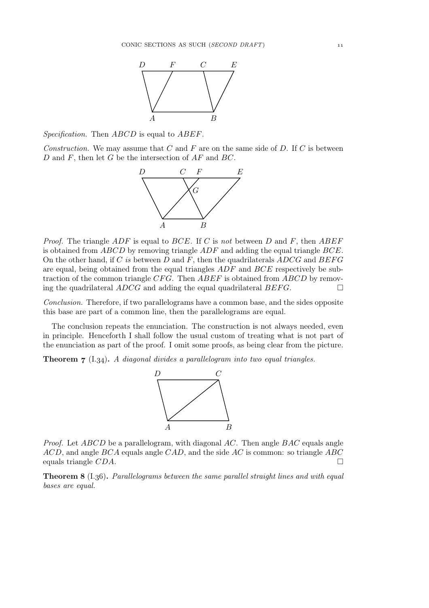

*Specification.* Then ABCD is equal to ABEF.

*Construction.* We may assume that  $C$  and  $F$  are on the same side of  $D$ . If  $C$  is between D and F, then let G be the intersection of  $AF$  and  $BC$ .



*Proof.* The triangle ADF is equal to BCE. If C is *not* between D and F, then ABEF is obtained from  $ABCD$  by removing triangle  $ADF$  and adding the equal triangle  $BCE$ . On the other hand, if C *is* between D and F, then the quadrilaterals ADCG and BEFG are equal, being obtained from the equal triangles ADF and BCE respectively be subtraction of the common triangle  $CFG$ . Then  $ABEF$  is obtained from  $ABCD$  by removing the quadrilateral  $ADCG$  and adding the equal quadrilateral  $BEFG$ .

*Conclusion.* Therefore, if two parallelograms have a common base, and the sides opposite this base are part of a common line, then the parallelograms are equal.

The conclusion repeats the enunciation. The construction is not always needed, even in principle. Henceforth I shall follow the usual custom of treating what is not part of the enunciation as part of the proof. I omit some proofs, as being clear from the picture.

**Theorem 7** (I.34). *A diagonal divides a parallelogram into two equal triangles.* 



*Proof.* Let *ABCD* be a parallelogram, with diagonal *AC*. Then angle *BAC* equals angle  $ACD$ , and angle  $BCA$  equals angle  $CAD$ , and the side  $AC$  is common: so triangle  $ABC$ equals triangle  $CDA$ .

Theorem (I.). *Parallelograms between the same parallel straight lines and with equal bases are equal.*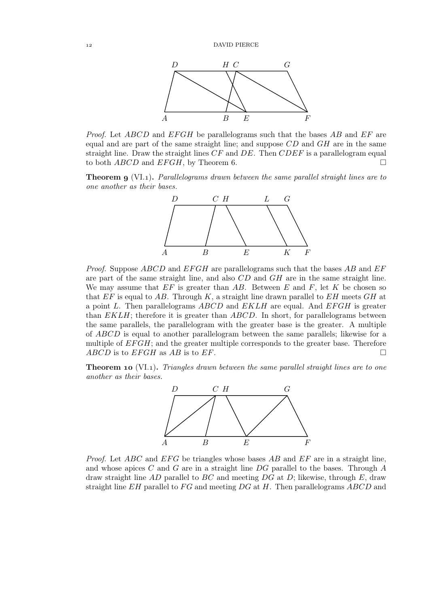

*Proof.* Let ABCD and EFGH be parallelograms such that the bases AB and EF are equal and are part of the same straight line; and suppose  $CD$  and  $GH$  are in the same straight line. Draw the straight lines  $CF$  and  $DE$ . Then  $CDEF$  is a parallelogram equal to both  $ABCD$  and  $EFGH$ , by Theorem 6.

Theorem (VI.). *Parallelograms drawn between the same parallel straight lines are to one another as their bases.*



*Proof.* Suppose ABCD and EFGH are parallelograms such that the bases AB and EF are part of the same straight line, and also CD and GH are in the same straight line. We may assume that  $EF$  is greater than  $AB$ . Between E and F, let K be chosen so that  $EF$  is equal to  $AB$ . Through  $K$ , a straight line drawn parallel to  $EH$  meets  $GH$  at a point  $L$ . Then parallelograms  $ABCD$  and  $EKLH$  are equal. And  $EFGH$  is greater than  $EKLH$ ; therefore it is greater than  $ABCD$ . In short, for parallelograms between the same parallels, the parallelogram with the greater base is the greater. A multiple of ABCD is equal to another parallelogram between the same parallels; likewise for a multiple of  $EFGH$ ; and the greater multiple corresponds to the greater base. Therefore  $ABCD$  is to  $EFGH$  as  $AB$  is to  $EF$ .

**Theorem 10** (VI.1). *Triangles drawn between the same parallel straight lines are to one another as their bases.*



*Proof.* Let ABC and EFG be triangles whose bases AB and EF are in a straight line, and whose apices C and G are in a straight line  $DG$  parallel to the bases. Through A draw straight line  $AD$  parallel to  $BC$  and meeting  $DG$  at D; likewise, through E, draw straight line  $EH$  parallel to  $FG$  and meeting  $DG$  at H. Then parallelograms  $ABCD$  and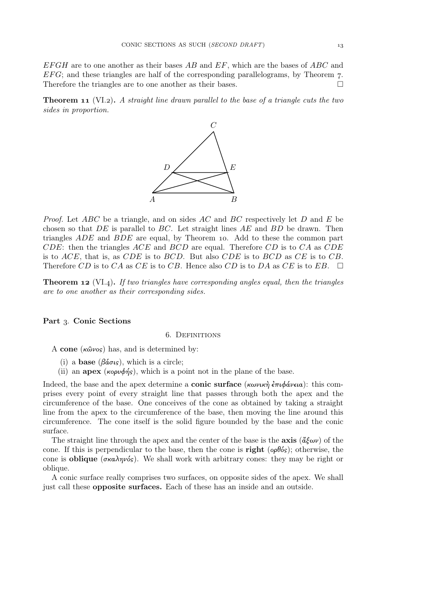$EFGH$  are to one another as their bases AB and  $EF$ , which are the bases of ABC and  $EFG$ ; and these triangles are half of the corresponding parallelograms, by Theorem  $7$ . Therefore the triangles are to one another as their bases.  $\Box$ 

**Theorem 11** (VI.2). A straight line drawn parallel to the base of a triangle cuts the two *sides in proportion.*



*Proof.* Let ABC be a triangle, and on sides AC and BC respectively let D and E be chosen so that  $DE$  is parallel to  $BC$ . Let straight lines  $AE$  and  $BD$  be drawn. Then triangles  $ADE$  and  $BDE$  are equal, by Theorem 10. Add to these the common part  $CDE$ : then the triangles  $ACE$  and  $BCD$  are equal. Therefore  $CD$  is to  $CA$  as  $CDE$ is to  $ACE$ , that is, as  $CDE$  is to  $BCD$ . But also  $CDE$  is to  $BCD$  as  $CE$  is to  $CB$ . Therefore CD is to CA as CE is to CB. Hence also CD is to DA as CE is to EB.  $\Box$ 

**Theorem 12** (VI.4). *If two triangles have corresponding angles equal, then the triangles are to one another as their corresponding sides.*

# Part 3. Conic Sections

## . Definitions

A cone ( $\kappa \hat{\omega} \nu$ os) has, and is determined by:

- (i) a **base** ( $\beta \acute{\alpha} \sigma \iota$ s), which is a circle;
- (ii) an apex ( $\kappa \circ \rho \nu \phi \eta$ ; which is a point not in the plane of the base.

Indeed, the base and the apex determine a **conic surface** (κωνική επιφάνεια): this comprises every point of every straight line that passes through both the apex and the circumference of the base. One conceives of the cone as obtained by taking a straight line from the apex to the circumference of the base, then moving the line around this circumference. The cone itself is the solid figure bounded by the base and the conic surface.

The straight line through the apex and the center of the base is the **axis** ( $\breve{\alpha}\xi\omega v$ ) of the cone. If this is perpendicular to the base, then the cone is **right** ( $\phi \theta \phi'$ s); otherwise, the cone is **oblique** (σκαληνός). We shall work with arbitrary cones: they may be right or oblique.

A conic surface really comprises two surfaces, on opposite sides of the apex. We shall just call these opposite surfaces. Each of these has an inside and an outside.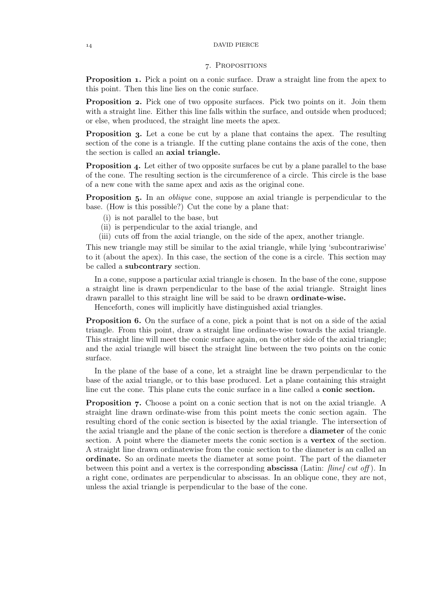#### DAVID PIERCE

#### . Propositions

**Proposition 1.** Pick a point on a conic surface. Draw a straight line from the apex to this point. Then this line lies on the conic surface.

**Proposition 2.** Pick one of two opposite surfaces. Pick two points on it. Join them with a straight line. Either this line falls within the surface, and outside when produced; or else, when produced, the straight line meets the apex.

**Proposition 3.** Let a cone be cut by a plane that contains the apex. The resulting section of the cone is a triangle. If the cutting plane contains the axis of the cone, then the section is called an axial triangle.

**Proposition 4.** Let either of two opposite surfaces be cut by a plane parallel to the base of the cone. The resulting section is the circumference of a circle. This circle is the base of a new cone with the same apex and axis as the original cone.

**Proposition 5.** In an *oblique* cone, suppose an axial triangle is perpendicular to the base. (How is this possible?) Cut the cone by a plane that:

- (i) is not parallel to the base, but
- (ii) is perpendicular to the axial triangle, and
- (iii) cuts off from the axial triangle, on the side of the apex, another triangle.

This new triangle may still be similar to the axial triangle, while lying 'subcontrariwise' to it (about the apex). In this case, the section of the cone is a circle. This section may be called a subcontrary section.

In a cone, suppose a particular axial triangle is chosen. In the base of the cone, suppose a straight line is drawn perpendicular to the base of the axial triangle. Straight lines drawn parallel to this straight line will be said to be drawn ordinate-wise.

Henceforth, cones will implicitly have distinguished axial triangles.

**Proposition 6.** On the surface of a cone, pick a point that is not on a side of the axial triangle. From this point, draw a straight line ordinate-wise towards the axial triangle. This straight line will meet the conic surface again, on the other side of the axial triangle; and the axial triangle will bisect the straight line between the two points on the conic surface.

In the plane of the base of a cone, let a straight line be drawn perpendicular to the base of the axial triangle, or to this base produced. Let a plane containing this straight line cut the cone. This plane cuts the conic surface in a line called a **conic section.** 

**Proposition 7.** Choose a point on a conic section that is not on the axial triangle. A straight line drawn ordinate-wise from this point meets the conic section again. The resulting chord of the conic section is bisected by the axial triangle. The intersection of the axial triangle and the plane of the conic section is therefore a diameter of the conic section. A point where the diameter meets the conic section is a **vertex** of the section. A straight line drawn ordinatewise from the conic section to the diameter is an called an ordinate. So an ordinate meets the diameter at some point. The part of the diameter between this point and a vertex is the corresponding abscissa (Latin: *[line] cut off* ). In a right cone, ordinates are perpendicular to abscissas. In an oblique cone, they are not, unless the axial triangle is perpendicular to the base of the cone.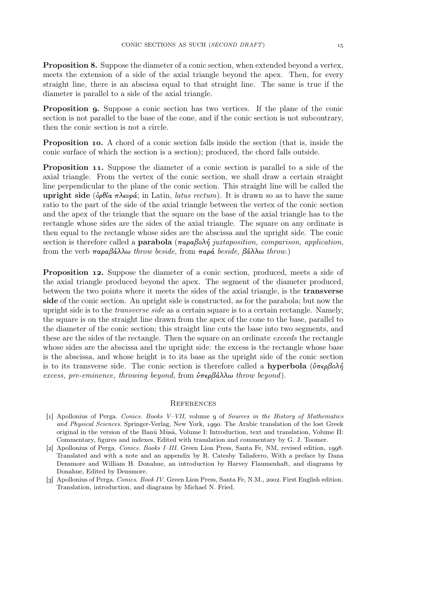**Proposition 8.** Suppose the diameter of a conic section, when extended beyond a vertex, meets the extension of a side of the axial triangle beyond the apex. Then, for every straight line, there is an abscissa equal to that straight line. The same is true if the diameter is parallel to a side of the axial triangle.

**Proposition 9.** Suppose a conic section has two vertices. If the plane of the conic section is not parallel to the base of the cone, and if the conic section is not subcontrary, then the conic section is not a circle.

**Proposition 10.** A chord of a conic section falls inside the section (that is, inside the conic surface of which the section is a section); produced, the chord falls outside.

**Proposition 11.** Suppose the diameter of a conic section is parallel to a side of the axial triangle. From the vertex of the conic section, we shall draw a certain straight line perpendicular to the plane of the conic section. This straight line will be called the upright side  $(\delta \rho \theta) \alpha \pi \lambda \epsilon \nu \rho \alpha$ ; in Latin, *latus rectum*). It is drawn so as to have the same ratio to the part of the side of the axial triangle between the vertex of the conic section and the apex of the triangle that the square on the base of the axial triangle has to the rectangle whose sides are the sides of the axial triangle. The square on any ordinate is then equal to the rectangle whose sides are the abscissa and the upright side. The conic section is therefore called a parabola (παραβολή *juxtaposition, comparison, application*, from the verb παραβάλλω *throw beside,* from παρά *beside,* βάλλω *throw.*)

**Proposition 12.** Suppose the diameter of a conic section, produced, meets a side of the axial triangle produced beyond the apex. The segment of the diameter produced, between the two points where it meets the sides of the axial triangle, is the transverse side of the conic section. An upright side is constructed, as for the parabola; but now the upright side is to the *transverse side* as a certain square is to a certain rectangle. Namely, the square is on the straight line drawn from the apex of the cone to the base, parallel to the diameter of the conic section; this straight line cuts the base into two segments, and these are the sides of the rectangle. Then the square on an ordinate *exceeds* the rectangle whose sides are the abscissa and the upright side: the excess is the rectangle whose base is the abscissa, and whose height is to its base as the upright side of the conic section is to its transverse side. The conic section is therefore called a hyperbola  $(\delta \pi \epsilon \rho \beta o \lambda \gamma)$ *excess, pre-eminence, throwing beyond,* from  $\dot{\nu} \pi \epsilon \beta \acute{a} \lambda \lambda \omega$  *throw beyond*).

#### **REFERENCES**

- [1] Apollonius of Perga. *Conics. Books V–VII*, volume 9 of *Sources in the History of Mathematics* and Physical Sciences. Springer-Verlag, New York, 1990. The Arabic translation of the lost Greek original in the version of the Banū Mūsā, Volume I: Introduction, text and translation, Volume II: Commentary, figures and indexes, Edited with translation and commentary by G. J. Toomer.
- [2] Apollonius of Perga. *Conics. Books I–III*. Green Lion Press, Santa Fe, NM, revised edition, 1998. Translated and with a note and an appendix by R. Catesby Taliaferro, With a preface by Dana Densmore and William H. Donahue, an introduction by Harvey Flaumenhaft, and diagrams by Donahue, Edited by Densmore.
- [3] Apollonius of Perga. *Conics. Book IV*. Green Lion Press, Santa Fe, N.M., 2002. First English edition. Translation, introduction, and diagrams by Michael N. Fried.